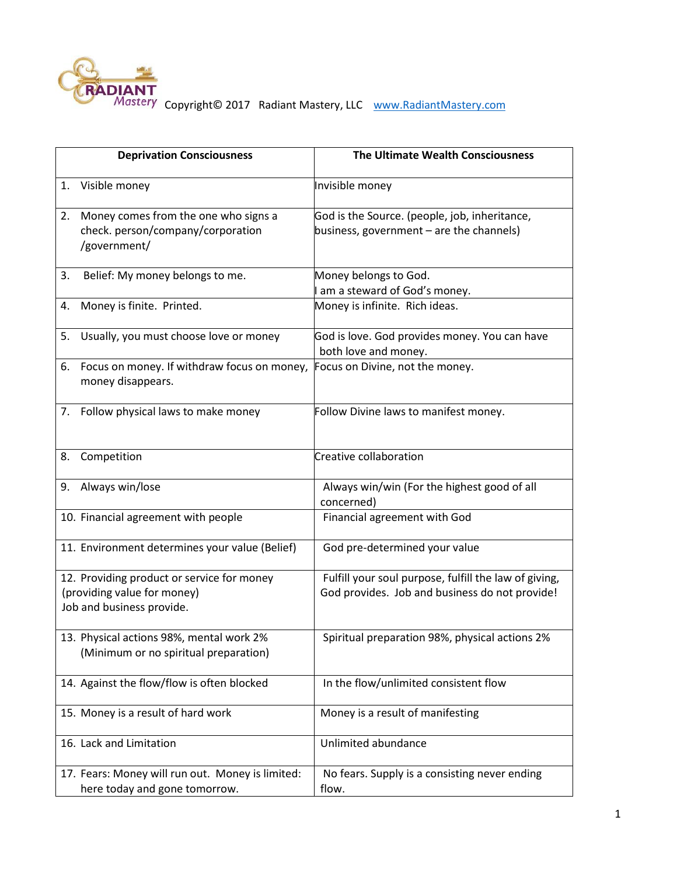

RADIANT<br>Mastery Copyright© 2017 Radiant Mastery, LLC [www.RadiantMastery.com](http://www.radiantmastery.com/)

|                                                                                                        | <b>Deprivation Consciousness</b>                                                          | The Ultimate Wealth Consciousness                                                                       |
|--------------------------------------------------------------------------------------------------------|-------------------------------------------------------------------------------------------|---------------------------------------------------------------------------------------------------------|
| 1.                                                                                                     | Visible money                                                                             | Invisible money                                                                                         |
| 2.                                                                                                     | Money comes from the one who signs a<br>check. person/company/corporation<br>/government/ | God is the Source. (people, job, inheritance,<br>business, government - are the channels)               |
| 3.                                                                                                     | Belief: My money belongs to me.                                                           | Money belongs to God.<br>am a steward of God's money.                                                   |
| 4.                                                                                                     | Money is finite. Printed.                                                                 | Money is infinite. Rich ideas.                                                                          |
| 5.                                                                                                     | Usually, you must choose love or money                                                    | God is love. God provides money. You can have<br>both love and money.                                   |
| 6.                                                                                                     | Focus on money. If withdraw focus on money,<br>money disappears.                          | Focus on Divine, not the money.                                                                         |
| 7.                                                                                                     | Follow physical laws to make money                                                        | Follow Divine laws to manifest money.                                                                   |
| 8.                                                                                                     | Competition                                                                               | Creative collaboration                                                                                  |
|                                                                                                        | 9. Always win/lose                                                                        | Always win/win (For the highest good of all<br>concerned)                                               |
|                                                                                                        | 10. Financial agreement with people                                                       | Financial agreement with God                                                                            |
|                                                                                                        | 11. Environment determines your value (Belief)                                            | God pre-determined your value                                                                           |
| 12. Providing product or service for money<br>(providing value for money)<br>Job and business provide. |                                                                                           | Fulfill your soul purpose, fulfill the law of giving,<br>God provides. Job and business do not provide! |
|                                                                                                        | 13. Physical actions 98%, mental work 2%<br>(Minimum or no spiritual preparation)         | Spiritual preparation 98%, physical actions 2%                                                          |
|                                                                                                        | 14. Against the flow/flow is often blocked                                                | In the flow/unlimited consistent flow                                                                   |
|                                                                                                        | 15. Money is a result of hard work                                                        | Money is a result of manifesting                                                                        |
|                                                                                                        | 16. Lack and Limitation                                                                   | Unlimited abundance                                                                                     |
|                                                                                                        | 17. Fears: Money will run out. Money is limited:<br>here today and gone tomorrow.         | No fears. Supply is a consisting never ending<br>flow.                                                  |